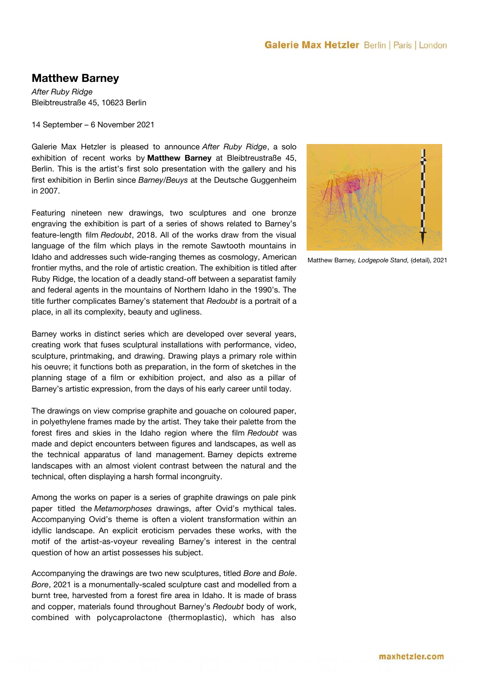### **Galerie Max Hetzler** Berlin | Paris | London

# **Matthew Barney**

*After Ruby Ridge* Bleibtreustraße 45, 10623 Berlin

14 September – 6 November 2021

Galerie Max Hetzler is pleased to announce *After Ruby Ridge*, a solo exhibition of recent works by **Matthew Barney** at Bleibtreustraße 45, Berlin. This is the artist's first solo presentation with the gallery and his frst exhibition in Berlin since *Barney/Beuys* at the Deutsche Guggenheim in 2007.

Featuring nineteen new drawings, two sculptures and one bronze engraving the exhibition is part of a series of shows related to Barney's feature-length film *Redoubt*, 2018. All of the works draw from the visual language of the film which plays in the remote Sawtooth mountains in Idaho and addresses such wide-ranging themes as cosmology, American frontier myths, and the role of artistic creation. The exhibition is titled after Ruby Ridge, the location of a deadly stand-off between a separatist family and federal agents in the mountains of Northern Idaho in the 1990's. The title further complicates Barney's statement that *Redoubt* is a portrait of a place, in all its complexity, beauty and ugliness.

Barney works in distinct series which are developed over several years, creating work that fuses sculptural installations with performance, video, sculpture, printmaking, and drawing. Drawing plays a primary role within his oeuvre; it functions both as preparation, in the form of sketches in the planning stage of a flm or exhibition project, and also as a pillar of Barney's artistic expression, from the days of his early career until today.

The drawings on view comprise graphite and gouache on coloured paper, in polyethylene frames made by the artist. They take their palette from the forest fres and skies in the Idaho region where the flm *Redoubt* was made and depict encounters between figures and landscapes, as well as the technical apparatus of land management. Barney depicts extreme landscapes with an almost violent contrast between the natural and the technical, often displaying a harsh formal incongruity.

Among the works on paper is a series of graphite drawings on pale pink paper titled the *Metamorphoses* drawings, after Ovid's mythical tales. Accompanying Ovid's theme is often a violent transformation within an idyllic landscape. An explicit eroticism pervades these works, with the motif of the artist-as-voyeur revealing Barney's interest in the central question of how an artist possesses his subject.

Accompanying the drawings are two new sculptures, titled *Bore* and *Bole*. *Bore*, 2021 is a monumentally-scaled sculpture cast and modelled from a burnt tree, harvested from a forest fre area in Idaho. It is made of brass and copper, materials found throughout Barney's *Redoubt* body of work, combined with polycaprolactone (thermoplastic), which has also



Matthew Barney*, Lodgepole Stand,* (detail), 2021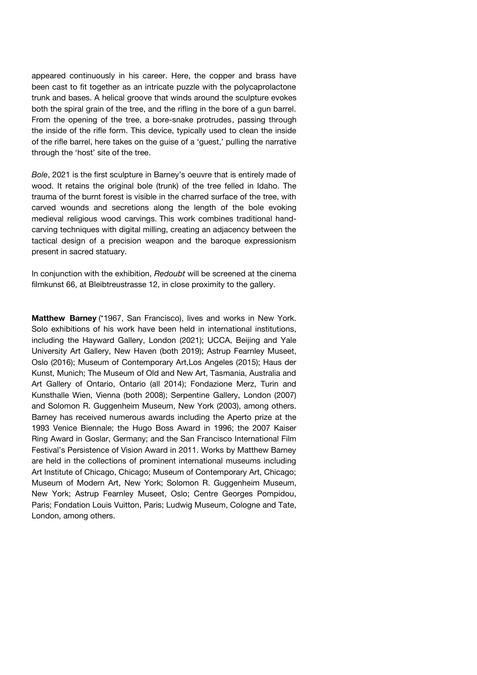appeared continuously in his career. Here, the copper and brass have been cast to fit together as an intricate puzzle with the polycaprolactone trunk and bases. A helical groove that winds around the sculpture evokes both the spiral grain of the tree, and the rifing in the bore of a gun barrel. From the opening of the tree, a bore-snake protrudes, passing through the inside of the rifle form. This device, typically used to clean the inside of the rife barrel, here takes on the guise of a 'guest,' pulling the narrative through the 'host' site of the tree.

*Bole*, 2021 is the first sculpture in Barney's oeuvre that is entirely made of wood. It retains the original bole (trunk) of the tree felled in Idaho. The trauma of the burnt forest is visible in the charred surface of the tree, with carved wounds and secretions along the length of the bole evoking medieval religious wood carvings. This work combines traditional handcarving techniques with digital milling, creating an adjacency between the tactical design of a precision weapon and the baroque expressionism present in sacred statuary.

In conjunction with the exhibition, *Redoubt* will be screened at the cinema filmkunst 66, at Bleibtreustrasse 12, in close proximity to the gallery.

**Matthew Barney** (\*1967, San Francisco), lives and works in New York. Solo exhibitions of his work have been held in international institutions, including the Hayward Gallery, London (2021); UCCA, Beijing and Yale University Art Gallery, New Haven (both 2019); Astrup Fearnley Museet, Oslo (2016); Museum of Contemporary Art,Los Angeles (2015); Haus der Kunst, Munich; The Museum of Old and New Art, Tasmania, Australia and Art Gallery of Ontario, Ontario (all 2014); Fondazione Merz, Turin and Kunsthalle Wien, Vienna (both 2008); Serpentine Gallery, London (2007) and Solomon R. Guggenheim Museum, New York (2003), among others. Barney has received numerous awards including the Aperto prize at the 1993 Venice Biennale; the Hugo Boss Award in 1996; the 2007 Kaiser Ring Award in Goslar, Germany; and the San Francisco International Film Festival's Persistence of Vision Award in 2011. Works by Matthew Barney are held in the collections of prominent international museums including Art Institute of Chicago, Chicago; Museum of Contemporary Art, Chicago; Museum of Modern Art, New York; Solomon R. Guggenheim Museum, New York; Astrup Fearnley Museet, Oslo; Centre Georges Pompidou, Paris; Fondation Louis Vuitton, Paris; Ludwig Museum, Cologne and Tate, London, among others.